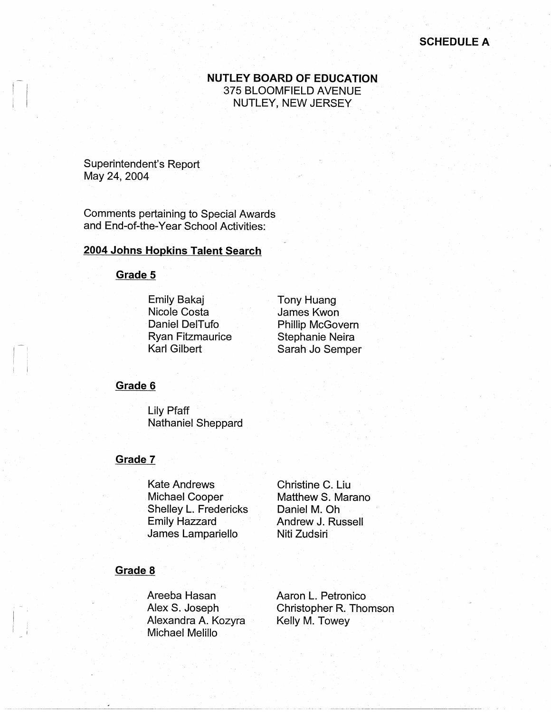# **NUTLEY BOARD OF EDUCATION**  375 BLOOMFIELD AVENUE NUTLEY, NEW JERSEY

Superintendent's Report May 24, 2004

 $\vert \cdot \vert$ 

 $\mathbf{I}$ I I

 $\mathbf{I}$  ,  $\mathbf{I}$  $\mathbb{I}$  : Comments pertaining to Special Awards and End-of-the-Year School Activities:

## **2004 Johns Hopkins Talent Search**

**Grade 5** 

Emily Bakaj Nicole Costa Daniel DelTufo Ryan Fitzmaurice Karl Gilbert

Tony Huang James Kwon Phillip McGovern Stephanie Neira Sarah Jo Semper

### **Grade 6**

Lily Pfaff Nathaniel Sheppard

### **Grade 7**

Kate Andrews Michael Cooper Shelley L. Fredericks Emily Hazzard James Lampariello

Christine C. Liu Matthew S. Marano Daniel M. Oh Andrew J. Russell Niti Zudsiri

### **Grade 8**

Areeba Hasan Alex S. Joseph Alexandra A. Kozyra Michael Melillo

Aaron L. Petronico Christopher R. Thomson Kelly M. Towey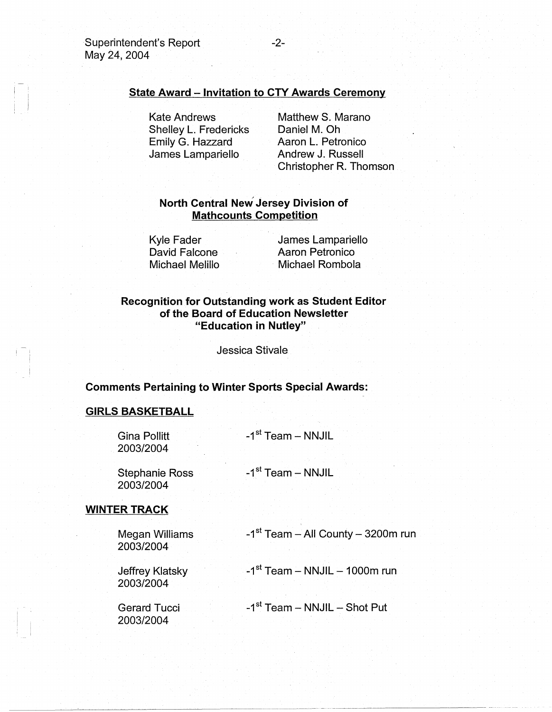# **State Award** - **Invitation to CTY Awards Ceremony**

Kate Andrews Shelley L. Fredericks Emily G. Hazzard James Lampariello

Matthew S. Marano Daniel M. Oh Aaron L. Petronico Andrew J. Russell Christopher R. Thomson

# **North Central Nev/Jersey Division of Mathcounts Competition**

Kyle Fader David Falcone Michael Melillo

James Lampariello Aaron Petronico Michael Rombola

## **Recognition for Outstanding work as Student Editor of the Board of Education Newsletter "Education in Nutley"**

Jessica Stivale

### **Comments Pertaining to Winter Sports Special Awards:**

#### **GIRLS BASKETBALL**

I -I  $\mathbf{r}$ 

| <b>Gina Pollitt</b><br>2003/2004   | -1 <sup>st</sup> Team - NNJIL        |
|------------------------------------|--------------------------------------|
| <b>Stephanie Ross</b><br>2003/2004 | -1 <sup>st</sup> Team - NNJIL        |
| <b>WINTER TRACK</b>                |                                      |
| Megan Williams<br>2003/2004        | $-1st$ Team – All County – 3200m run |
| Jeffrey Klatsky<br>2003/2004       | $-1st$ Team - NNJIL - 1000m run      |

Gerard Tucci 2003/2004

 $-1$ <sup>st</sup> Team - NNJIL - Shot Put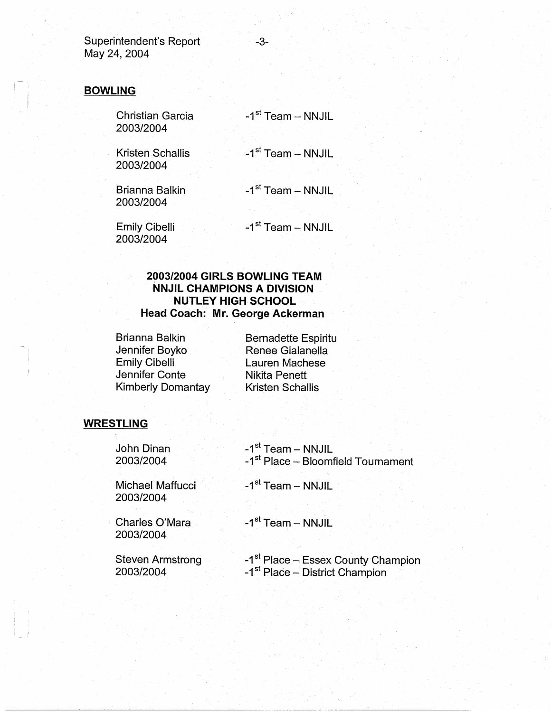Superintendent's Report 43-May 24, 2004

# **BOWLING**

<sup>I</sup>I

Christian Garcia 2003/2004

 $-1<sup>st</sup>$  Team - NNJIL

Kristen Schallis 2003/2004

-1<sup>st</sup> Team - NNJIL

Brianna Balkin 2003/2004

 $-1<sup>st</sup>$  Team - NNJIL

Emily Cibelli 2003/2004

-1<sup>st</sup> Team - NNJIL

# **2003/2004 GIRLS BOWLING TEAM NNJIL CHAMPIONS A DIVISION NUTLEY HIGH SCHOOL Head Coach: Mr. George Ackerman**

Brianna Balkin Jennifer Boyko Emily Cibelli Jennifer Conte Kimberly Domantay Bernadette Espiritu Renee Gialanella Lauren Machese Nikita Penett Kristen Schallis

# **WRESTLING**

| John Dinan                    | -1 <sup>st</sup> Team - NNJIL                  |
|-------------------------------|------------------------------------------------|
| 2003/2004                     | -1 <sup>st</sup> Place - Bloomfield Tournament |
| Michael Maffucci<br>2003/2004 | $-1st$ Team – NNJIL                            |
| Charles O'Mara<br>2003/2004   | $-1st$ Team – NNJIL                            |
| <b>Steven Armstrong</b>       | -1 <sup>st</sup> Place – Essex County Champion |
| 2003/2004                     | -1 <sup>st</sup> Place – District Champion     |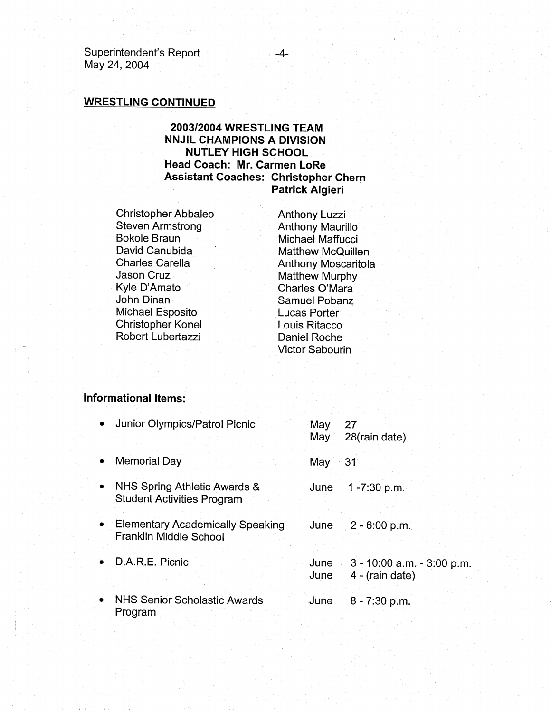Superintendent's Report May 24, 2004

 $\mathbf{I} = \mathbf{I}$ 

# **WRESTLING CONTINUED**

# **2003/2004 WRESTLING TEAM NNJIL CHAMPIONS A DIVISION NUTLEY HIGH SCHOOL Head Coach: Mr. Carmen LoRe Assistant Coaches: Christopher Chern Patrick Algieri**

Christopher Abbaleo Steven Armstrong Bokole Braun David Canubida Charles Carella Jason Cruz Kyle D'Amato John Dinan Michael Esposito Christopher Konel Robert Lubertazzi

Anthony Luzzi Anthony Maurillo Michael Maffucci Matthew McQuillen Anthony Moscaritola Matthew Murphy Charles O'Mara Samuel Pobanz Lucas Porter Louis Ritacco Daniel Roche Victor Sabourin

#### **Informational Items:**

| • Junior Olympics/Patrol Picnic                                     | May          | 27<br>May 28(rain date)                       |
|---------------------------------------------------------------------|--------------|-----------------------------------------------|
| Memorial Day<br>$\bullet$                                           | May          | -31                                           |
| • NHS Spring Athletic Awards &<br><b>Student Activities Program</b> | June         | 1-7:30 p.m.                                   |
| • Elementary Academically Speaking<br><b>Franklin Middle School</b> | June         | $2 - 6:00 p.m.$                               |
| • D.A.R.E. Picnic                                                   | June<br>June | 3 - 10:00 a.m. - 3:00 p.m.<br>4 - (rain date) |
| $\bullet$<br><b>NHS Senior Scholastic Awards</b><br>Program         | June         | $8 - 7:30$ p.m.                               |